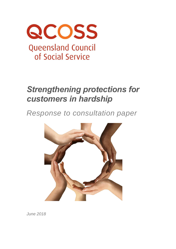

# *Strengthening protections for customers in hardship*

*Response to consultation paper*



*June 2018*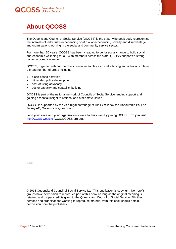



## <span id="page-1-0"></span>**About QCOSS**

The Queensland Council of Social Service (QCOSS) is the state-wide peak body representing the interests of individuals experiencing or at risk of experiencing poverty and disadvantage, and organisations working in the social and community service sector.

For more than 50 years, QCOSS has been a leading force for social change to build social and economic wellbeing for all. With members across the state, QCOSS supports a strong community service sector.

QCOSS, together with our members continues to play a crucial lobbying and advocacy role in a broad number of areas including:

- place-based activities
- citizen-led policy development
- cost-of-living advocacy
- sector capacity and capability building.

QCOSS is part of the national network of Councils of Social Service lending support and gaining essential insight to national and other state issues.

QCOSS is supported by the vice-regal patronage of His Excellency the Honourable Paul de Jersey AC**,** [Governor of Queensland](http://www.govhouse.qld.gov.au/)**.**

Lend your voice and your organisation's voice to this vision by joining QCOSS. To join visit [the QCOSS website](http://www.qcoss.org.au/) (www.QCOSS.org.au).

ISBN –

© 2018 Queensland Council of Social Service Ltd. This publication is copyright. Non-profit groups have permission to reproduce part of this book as long as the original meaning is retained and proper credit is given to the Queensland Council of Social Service. All other persons and organisations wanting to reproduce material from this book should obtain permission from the publishers.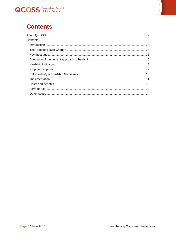

<span id="page-2-0"></span>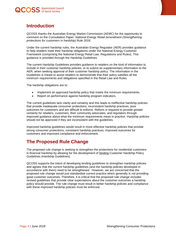

<span id="page-3-0"></span>

QCOSS thanks the Australian Energy Market Commission (AEMC) for the opportunity to comment on the *Consultation Paper: National Energy Retail Amendment (Strengthening protections for customers in hardship) Rule 2018*.

Under the current hardship rules, the Australian Energy Regulator (AER) provides guidance to help retailers meet their hardship obligations under the National Energy Customer Framework (comprising the National Energy Retail Law, Regulations and Rules). This guidance is provided through the Hardship Guidelines.

The current Hardship Guidelines provides guidance to retailers on the kind of information to include in their customer hardship policies, or to submit as supplementary information to the AER, when seeking approval of their customer hardship policy. The information in the Guidelines is meant to assist retailers to demonstrate that their policy satisfies all the minimum requirements and obligations specified in the Retail Law and Rules.

The hardship obligations are to:

- Implement an approved hardship policy that meets the minimum requirements.
- Report on performance against hardship program indicators.

The current guidelines lack clarity and certainty and this leads to ineffective hardship policies that provide inadequate consumer protections, inconsistent hardship practices, poor outcomes for customers and are difficult to enforce. Reform is required to provide greater certainty for retailers, customers, their community advocates, and regulators through improved guidance about what the minimum requirements mean in practice. Hardship policies should not be approved if they are inconsistent with the guidelines.

Improved hardship guidelines would result in more effective hardship policies that provide strong consumer protections, consistent hardship practices, improved outcomes for customers and improved compliance and enforcement.

### <span id="page-3-1"></span>**The Proposed Rule Change**

The proposed rule change is seeking to strengthen the protections for residential customers in financial hardship by allowing for the development of binding Customer Hardship Policy Guidelines (Hardship Guidelines).

QCOSS supports the intent of developing binding guidelines to strengthen hardship policies and agrees that the current hardship guidelines (and the hardship policies developed in accordance with them) need to be strengthened. However, we are concerned that the proposed rule change would just standardise current practice which generally is not providing good customer outcomes. Therefore, it is critical that the proposed rule change includes revised guidelines that provide clear expectations about the customer outcomes a hardship policy should provide. The rule change must result in better hardship policies and compliance with these improved hardship policies must be enforced.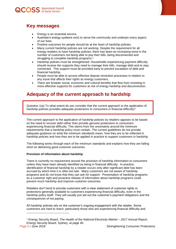

<span id="page-4-0"></span>

- Energy is an essential service.
- Australia's energy systems exist to serve the community and underpin every aspect of our lives.
- Positive outcomes for people should be at the heart of hardship policies.
- Many current hardship policies are not working. Despite the requirement for all energy retailers to have hardship policies, there has been an increasing trend in the number of customers not being able to pay their bills, being disconnected and struggling to complete hardship programs. 1
- Hardship policies must be strengthened. Households experiencing payment difficulty should receive the supports they need to manage their bills, manage debt and to stay connected. This support must be provided early to prevent escalation of debt and financial hardship.
- People must be able to access effective dispute resolution processes in relation to any issue that affects their rights as energy customers.
- There are broader social, economic and cultural benefits that flow from investing in more effective supports for customers at risk of energy hardship and disconnection.

### <span id="page-4-1"></span>**Adequacy of the current approach to hardship**

Question 1(a) To what extent do you consider that the current approach to the application of hardship policies provides adequate protections to consumers in financial difficulty?

The current approach to the application of hardship policies by retailers appears to be based on the need to recover debt rather than provide genuine protections to consumers experiencing financial difficulty. This stems from the uncertainty around the minimum requirements that a hardship policy must contain. The current guidelines do not provide adequate guidance on what the minimum standards mean, how they are to be reflected in hardship policies and how they are to be applied in practice to support customers in hardship.

The following works through each of the minimum standards and explains how they are falling short on delivering good customer outcomes.

#### **Provision of information about hardship**

There is currently no requirement around the provision of hardship information to consumers unless they have been already identified as being in financial difficulty. In practice, identification of financial hardship by a retailer occurs only after significant debt has been accrued by which time it is often too late. Many customers are not aware of hardship programs and do not know that they can ask for support. Presentation of hardship programs as a customer right and proactive release of information about hardship programs could prevent much hardship and improve customer outcomes.

Retailers don't tend to provide customers with a clear statement of customer rights or protections generally available to customers experiencing financial difficulty, even in the hardship policy itself. They will usually just set out the customer's payment obligations and the consequences of not paying.

All hardship policies rely on the customer's ongoing engagement with the retailer. Some customers are hard to reach, particularly those who are experiencing financial difficulty and

l

<sup>1</sup> Energy Security Board, *The Health of the National Electricity Market – 2017 Annual Report*, Energy Security Board, Sydney, at page 40.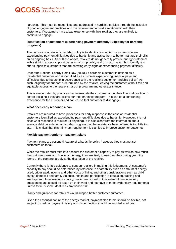



hardship. This must be recognised and addressed in hardship policies through the inclusion of good engagement practices and the requirement to build a relationship with their customers. If customers have a bad experience with their retailer, they are unlikely to continue to engage.

#### **Identification of customers experiencing payment difficulty (Eligibility for hardship programs)**

The purpose of a retailer's hardship policy is to identify residential customers who are experiencing payment difficulties due to hardship and assist them to better manage their bills on an ongoing basis. As outlined above, retailers do not generally provide energy customers with a right to access support under a hardship policy and do not do enough to identify and offer support to customers that are showing early signs of experiencing payment difficulty.

Under the National Energy Retail Law (NERL) a hardship customer is defined as a "residential customer who is identified as a customer experiencing financial payment difficulties due to hardship in accordance with the retailer's customer hardship policy." As such, eligibility for support is determined by the retailer, leaving the customer without fair and equitable access to the retailer's hardship program and other assistance.

This is exacerbated by practices that interrogate the customer about their financial position to before deciding if they are eligible for their hardship program. This can be a confronting experience for the customer and can cause that customer to disengage.

#### **What does early response mean**

Retailers are required to have processes for early response in the case of residential customers identified as experiencing payment difficulties due to hardship. However, it is not clear what response is required (if anything). It is also clear from the information about average debt on entering a hardship program that the assistance being offered is too little too late. It is critical that this minimum requirement is clarified to improve customer outcomes.

#### **Flexible payment options – payment plans**

Payment plans are essential feature of a hardship policy however, they must not set customers up to fail.

While the retailer must take into account the customer's capacity to pay as well as how much the customer owes and how much energy they are likely to use over the coming year, the terms of the plan are largely at the discretion of the retailer.

Currently there is little guidance to support retailers in making this judgement. A customer's capacity to pay should be determined by reference to affordability such as amount of energy used, prices paid, income and other costs of living, and other considerations such as child safety, domestic and family violence, health and participation in education, training and employment. In assessing capacity, customers should not be subject to unnecessary questioning and should be taken on their word and not have to meet evidentiary requirements unless there is some identified compliance risk.

Clarity and guidance for retailers would support better customer outcomes.

Given the essential nature of the energy market, payment plan terms should be flexible, not subject to credit or payment history and disconnection should be avoided at all cost.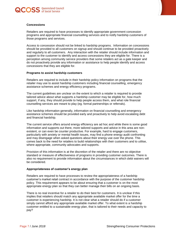



#### **Concessions**

Retailers are required to have processes to identify appropriate government concession programs and appropriate financial counselling services and to notify hardship customers of those programs and services.

Access to concession should not be linked to hardship programs. Information on concessions should be provided to all customers on signup and should continue to be provided proactively and regularly to all customers. Any interaction with the retailer should include information and support to the customer to identify and access concessions they are eligible for. There is a perception among community service providers that some retailers act as a gate keeper and do not proactively provide any information or assistance to help people identify and access concessions that they are eligible for.

#### **Programs to assist hardship customers**

Retailers are required to include in their hardship policy information on programs that the retailer may use to assist hardship customers including financial counselling, emergency assistance schemes and energy efficiency programs.

The current guidelines are unclear on the extent to which a retailer is required to provide tailored advice about what supports a hardship customer may be eligible for, how much support, if any, they should provide to help people access them, and what role financial counselling services are meant to play (eg. formal partnerships or referrals).

Like hardship information generally, information on financial counselling and emergency assistance schemes should be provided early and proactively to help avoid escalating debt and financial hardship.

The current service offers around energy efficiency are ad hoc and while there is some good information and supports out there, more tailored supports and advice in this area are nonexistent, or can even be counter productive. For example, hard to engage customers, particularly with anxiety or mental health issues, may find a phone energy audit confronting and may disengage when asked questions about their energy use over the phone. This comes back to the need for retailers to build relationships with their customers and to utilise, where appropriate, community advocates and supports.

Provision of this information is at the discretion of the retailer and there are no objective standard or measure of effectiveness of programs in providing customer outcomes. There is also no requirement to provide information about the circumstances in which debt waivers will be considered.

#### **Appropriateness of customer's energy plan**

Retailers are required to have processes to review the appropriateness of a hardship customer's market retail contract in accordance with the purpose of the customer hardship policy. This requirement appears to be about ensuring that a customer is on the most appropriate energy plan so that they can better manage their bills on an ongoing basis.

There is no real incentive for a retailer to do their best for customers. It is unclear if this implies that retailers should match any appropriate available market offer for the time a customer is experiencing hardship. It is not clear what a retailer should do if a customer simply cannot afford any appropriate available market offer. To what extent is a hardship customer entitled to a sustainable energy plan, that is tailored to their needs and capacity to pay?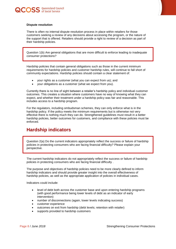



#### **Dispute resolution**

There is often no internal dispute resolution process in place within retailers for those customers seeking a review of any decisions about accessing the program, or the nature of the support that is offered. Retailers should provide a right to review of a decision as part of their hardship policies.

Question 1(b) Are general obligations that are more difficult to enforce leading to inadequate consumer protections?

Hardship policies that contain general obligations such as those in the current minimum requirements for hardship policies and customer hardship rules, will continue to fall short of community expectations. Hardship policies should contain a clear statement of:

- your rights as a customer (what you can expect from us); and
- your obligations as a customer (what we expect from you).

Currently there is no line of sight between a retailer's hardship policy and individual customer outcomes. This creates a situation where customers have no way of knowing what they can expect, and whether their treatment under a hardship policy was fair and reasonable. This includes access to a hardship program.

For the regulators, including ombudsman schemes, they can only enforce what is in the hardship policy. If the policy meets the minimum requirements but is otherwise not very effective there is nothing much they can do. Strengthened guidelines must result in a better hardship policies, better outcomes for customers, and compliance with these policies must be enforced.

### <span id="page-7-0"></span>**Hardship indicators**

Question 2(a) Do the current indicators appropriately reflect the success or failure of hardship policies in protecting consumers who are facing financial difficulty? Please explain your perspective.

The current hardship indicators do not appropriately reflect the success or failure of hardship policies in protecting consumers who are facing financial difficulty .

The purpose and objectives of hardship policies need to be more clearly defined to inform hardship indicators and should provide greater insight into the overall effectiveness of hardship policies, as well as the appropriate application of policies in individual cases.

Indicators could include:

- level of debt both across the customer base and upon entering hardship programs (with good performance being lower levels of debt as an indicator of early intervention)
- number of disconnections (again, lower levels indicating success)
- customer experience
- outcomes on exit from hardship (debt levels; retention with retailer)
- supports provided to hardship customers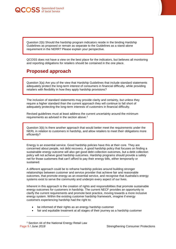

Question 2(b) Should the hardship program indicators reside in the binding Hardship Guidelines as proposed or remain as separate to the Guidelines as a stand-alone requirement in the NERR? Please explain your perspective.

QCOSS does not have a view on the best place for the indicators, but believes all monitoring and reporting obligations for retailers should be contained in the one place.

### <span id="page-8-0"></span>**Proposed approach**

Question 3(a) Are you of the view that Hardship Guidelines that include standard statements adequately protect the long-term interest of consumers in financial difficulty, while providing retailers with flexibility in how they apply hardship provisions?

The inclusion of standard statements may provide clarity and certainty, but unless they require a higher standard than the current approach they will continue to fall short of adequately protecting the long-term interests of customers in financial difficulty.

Revised guidelines must at least address the current uncertainty around the minimum requirements as advised in the section above. 2

Question 3(b) Is there another approach that would better meet the requirements under the NERL in relation to customers in hardship, and allow retailers to meet their obligations more efficiently?

Energy is an essential service. Good hardship policies have this at their core. They are concerned about people, not debt recovery. A good hardship policy that focuses on finding a sustainable energy outcome will also get good debt collection outcomes, but a debt collection policy will not achieve good hardship outcomes. Hardship programs should provide a safety net for those customers that can't afford to pay their energy bills, either temporarily or sustained.

A different approach could be to reframe hardship policies around building stronger relationships between customer and service provider that achieve fair and reasonable outcomes, that promote energy as an essential service, and recognise that Australia's energy systems exist to serve the community and underpin every aspect of our lives.

Inherent in this approach is the creation of rights and responsibilities that promote sustainable energy outcomes for customers in hardship. The current NECF provides an opportunity to clarify the current requirements and promote best practice, moving towards a more inclusive energy system. Within the existing customer hardship framework, imagine if energy customers experiencing hardship had the right to:

- be informed of their rights as an energy hardship customer
- fair and equitable treatment at all stages of their journey as a hardship customer

l

Page 9 / *June 2018* Strengthening Consumer Protections <sup>2</sup> Section 44 of the National Energy Retail Law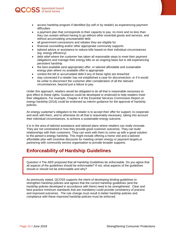

- access hardship program if identified (by self or by retailer) as experiencing payment difficulties
- a payment plan that corresponds to their capacity to pay, no more and no less than they can sustain without having to go without other essential goods and services, and without accumulating unsustainable debt
- all government concessions and rebates they are eligible for
- financial counselling and/or other appropriate community supports
- tailored advice or assistance to reduce bills based on their individual circumstances (eg. energy efficiency)
- debt relief where the customer has taken all reasonable steps to meet their payment obligations and manage their energy bills on an ongoing basis but is still experiencing persistent hardship
- the best available (and appropriate) offer, or tailored affordable and sustainable energy plan where no available offer is appropriate
- contest the bill or accumulated debt if any of these rights are breached
- stay connected if a retailer has not established a case for disconnection, or if it would be unfair to disconnect the customer after consideration of all the relevant circumstances, beyond just a failure to pay.

Under this approach, retailers would be obligated to do all that is reasonable necessary to give effect to these rights. Guidance could be developed or endorsed to help retailers meet their obligations. For example, Chapter 4 of the Essential Services Commission Report on energy hardship (2016) could be endorsed as interim guidance for the approval of hardship policies.

An energy customer's obligation to the retailer is to accept their offer for support, to cooperate and work with them, and to otherwise do all that is reasonably necessary, taking into account their individual circumstances, to achieve a sustainable energy outcome.

It is in the area of tailored assistance and tailored plans where retailers can really innovate. They are not constrained in how they provide good customer outcomes. They can build relationships with their customers. They can work with them to come up with a great solution to the person's energy hardship. This might include offering a home visit and a tailored affordable plan with incentive discounts for meeting certain energy or payment targets,or partnering with community service organisation to provide broader supports.

### <span id="page-9-0"></span>**Enforceability of Hardship Guidelines**

Question 4 The AER proposed that all Hardship Guidelines be enforceable. Do you agree that all aspects of the guidelines should be enforceable? If not, what aspects of the guidelines should or should not be enforceable and why?

As previously stated, QCOSS supports the intent of developing binding guidelines to strengthen hardship policies and agrees that the current hardship guidelines (and the hardship policies developed in accordance with them) need to be strengthened. Clear and best practice minimum standards that are mandatory could provide consistency of practice and improved outcomes. The rule change must result in better hardship policies and compliance with these improved hardship policies must be enforced.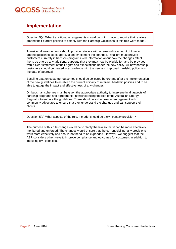

<span id="page-10-0"></span>

Question 5(a) What transitional arrangements should be put in place to require that retailers amend their current policies to comply with the Hardship Guidelines, if this rule were made?

Transitional arrangements should provide retailers with a reasonable amount of time to amend guidelines, seek approval and implement the changes. Retailers must provide customers currently in hardship programs with information about how the changes affect them, be offered any additional supports that they may now be eligible for, and be provided with a clear statement of their rights and expectations under the new policy. All new hardship customers should be treated in accordance with the new and improved hardship policy from the date of approval.

Baseline data on customer outcomes should be collected before and after the implementation of the new guidelines to establish the current efficacy of retailers' hardship policies and to be able to gauge the impact and effectiveness of any changes.

Ombudsman schemes must be given the appropriate authority to intervene in all aspects of hardship programs and agreements, notwithstanding the role of the Australian Energy Regulator to enforce the guidelines. There should also be broader engagement with community advocates to ensure that they understand the changes and can support their clients.

Question 5(b) What aspects of the rule, if made, should be a civil penalty provision?

The purpose of this rule change would be to clarify the law so that it can be more effectively monitored and enforced. The changes would ensure that the current civil penalty provisions work more effectively and should not need to be expanded. However, we suggest that the AER considers other ways to improve compliance and outcomes for customers in addition to imposing civil penalties.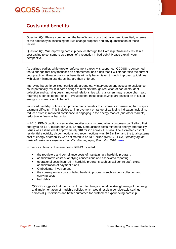

<span id="page-11-0"></span>

Question 6(a) Please comment on the benefits and costs that have been identified, in terms of the adequacy in assessing the rule change proposal and any quantification of those factors.

Question 6(b) Will improving hardship policies through the Hardship Guidelines result in a cost saving to consumers as a result of a reduction in bad debt? Please explain your perspective.

As outlined earlier, while greater enforcement capacity is supported, QCOSS is concerned that a change that only focusses on enforcement has a risk that it will standardise the current poor practice. Greater customer benefits will only be achieved through improved guidelines with clear minimum standards that are then enforced.

Improving hardship policies, particularly around early intervention and access to assistance, could potentially result in cost savings to retailers through reduction of bad debts, debt collection and carrying costs. Improved relationships with customers may reduce churn also returning a benefit to the retailer. Provided that these cost savings are passed on in full, all energy consumers would benefit.

Improved hardship policies can provide many benefits to customers experiencing hardship or payment difficulty. This includes an improvement on range of wellbeing indicators including: reduced stress; improved confidence in engaging in the energy market (and other markets); reduction in financial hardship.

In 2016, KPMG cautiously estimated retailer costs incurred when customers can't afford their energy to be \$270 million per year. Energy Ombudsman costs related to energy affordability issues was estimated at approximately \$10 million across Australia. The estimated cost of residential electricity disconnections and reconnections was \$6.9 million and the total systems cost of energy affordability was estimated to be \$1.1 billion (KPMG – ECA, *Quantifying the costs of customers experiencing difficulties in paying their bills*, 2016 [here\)](http://energyconsumersaustralia.com.au/wp-content/uploads/KPMG-ECA_Estimating_costs_associated_with_payment_difficulties_and_disconnections_October_2016.pdf.pdf).

In their calculations of retailer costs, KPMG included:

- the regulatory and compliance costs of maintaining a hardship program,
- administrative costs of applying concessions and associated reporting,
- operational costs incurred in hardship programs such as call centre staff, extra administration of payment plans,
- Ombudsman involvement,
- the consequential costs of failed hardship programs such as debt collection and carrying costs,
- bad debts.

QCOSS suggests that the focus of the rule change should be strengthening of the design and implementation of hardship policies which would result in considerable savings across all jurisdictions and better outcomes for customers experiencing hardship.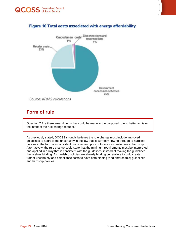



### Figure 16 Total costs associated with energy affordability

<span id="page-12-0"></span>**Form of rule**

Question 7 Are there amendments that could be made to the proposed rule to better achieve the intent of the rule change request?

As previously stated, QCOSS strongly believes the rule change must include improved guidelines to address the uncertainty in the law that is currently flowing through to hardship policies in the form of inconsistent practices and poor outcomes for customers in hardship. Alternatively, the rule change could state that the minimum requirements must be interpreted and applied in a way that is consistent with the guidelines, instead of making the guidelines themselves binding. As hardship policies are already binding on retailers it could create further uncertainty and compliance costs to have both binding (and enforceable) guidelines and hardship policies.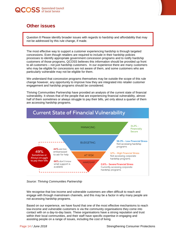### <span id="page-13-0"></span>**Other issues**

Question 8 Please identify broader issues with regards to hardship and affordability that may not be addressed by this rule change, if made.

The most effective way to support a customer experiencing hardship is through targeted concessions. Even though retailers are required to include in their hardship policies processes to identify appropriate government concession programs and to notify hardship customers of those programs, QCOSS believes this information should be provided up front to all customers – not just hardship customers. In our experience there are many customers who may be eligible for concessions are not aware of them, and some customers who are particularly vulnerable may not be eligible for them.

We understand that concession programs themselves may be outside the scope of this rule change however, any opportunity to improve how they are integrated into retailer customer engagement and hardship programs should be considered.

Thriving Communities Partnership have provided an analysis of the current state of financial vulnerability. It shows that of the people that are experiencing financial vulnerability, almost half of them sometimes or always struggle to pay their bills, yet only about a quarter of them are accessing hardship programs.



*Source: Thriving Communities Partnership* 

We recognise that low income and vulnerable customers are often difficult to reach and engage with through mainstream channels, and this may be a factor in why many people are not accessing hardship programs.

Based on our experience, we have found that one of the most effective mechanisms to reach low-income and vulnerable customers is via the community organisations they come into contact with on a day-to-day basis. These organisations have a strong reputation and trust within their local communities, and their staff have specific expertise in engaging and assisting people on a range of issues, including the cost of living.